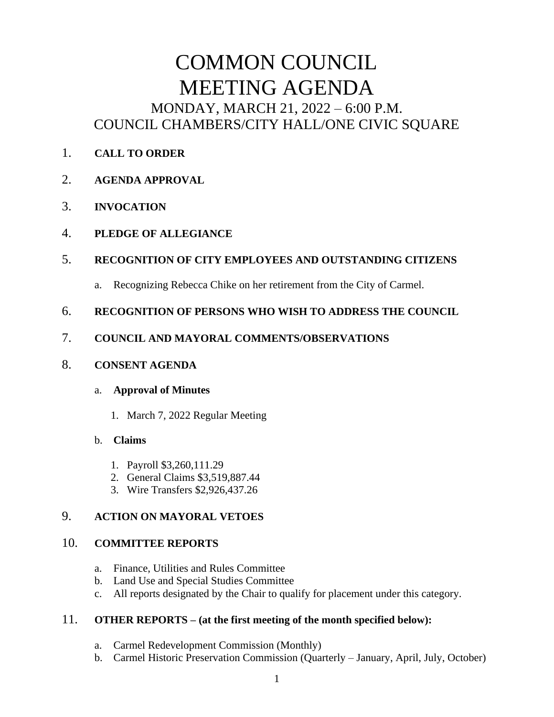# COMMON COUNCIL MEETING AGENDA MONDAY, MARCH 21, 2022 – 6:00 P.M. COUNCIL CHAMBERS/CITY HALL/ONE CIVIC SQUARE

- 1. **CALL TO ORDER**
- 2. **AGENDA APPROVAL**
- 3. **INVOCATION**
- 4. **PLEDGE OF ALLEGIANCE**

## 5. **RECOGNITION OF CITY EMPLOYEES AND OUTSTANDING CITIZENS**

a. Recognizing Rebecca Chike on her retirement from the City of Carmel.

## 6. **RECOGNITION OF PERSONS WHO WISH TO ADDRESS THE COUNCIL**

## 7. **COUNCIL AND MAYORAL COMMENTS/OBSERVATIONS**

#### 8. **CONSENT AGENDA**

#### a. **Approval of Minutes**

1. March 7, 2022 Regular Meeting

#### b. **Claims**

- 1. Payroll \$3,260,111.29
- 2. General Claims \$3,519,887.44
- 3. Wire Transfers \$2,926,437.26

## 9. **ACTION ON MAYORAL VETOES**

## 10. **COMMITTEE REPORTS**

- a. Finance, Utilities and Rules Committee
- b. Land Use and Special Studies Committee
- c. All reports designated by the Chair to qualify for placement under this category.

## 11. **OTHER REPORTS – (at the first meeting of the month specified below):**

- a. Carmel Redevelopment Commission (Monthly)
- b. Carmel Historic Preservation Commission (Quarterly January, April, July, October)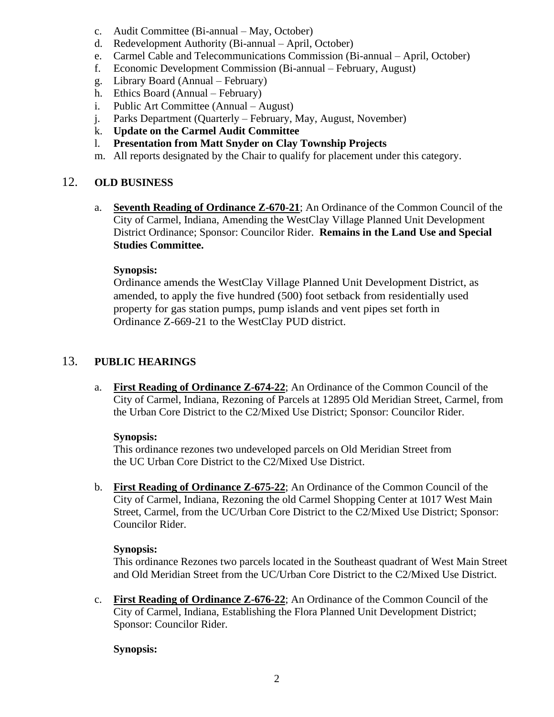- c. Audit Committee (Bi-annual May, October)
- d. Redevelopment Authority (Bi-annual April, October)
- e. Carmel Cable and Telecommunications Commission (Bi-annual April, October)
- f. Economic Development Commission (Bi-annual February, August)
- g. Library Board (Annual February)
- h. Ethics Board (Annual February)
- i. Public Art Committee (Annual August)
- j. Parks Department (Quarterly February, May, August, November)
- k. **Update on the Carmel Audit Committee**
- l. **Presentation from Matt Snyder on Clay Township Projects**
- m. All reports designated by the Chair to qualify for placement under this category.

#### 12. **OLD BUSINESS**

a. **Seventh Reading of Ordinance Z-670-21**; An Ordinance of the Common Council of the City of Carmel, Indiana, Amending the WestClay Village Planned Unit Development District Ordinance; Sponsor: Councilor Rider. **Remains in the Land Use and Special Studies Committee.**

#### **Synopsis:**

Ordinance amends the WestClay Village Planned Unit Development District, as amended, to apply the five hundred (500) foot setback from residentially used property for gas station pumps, pump islands and vent pipes set forth in Ordinance Z-669-21 to the WestClay PUD district.

#### 13. **PUBLIC HEARINGS**

a. **First Reading of Ordinance Z-674-22**; An Ordinance of the Common Council of the City of Carmel, Indiana, Rezoning of Parcels at 12895 Old Meridian Street, Carmel, from the Urban Core District to the C2/Mixed Use District; Sponsor: Councilor Rider.

#### **Synopsis:**

This ordinance rezones two undeveloped parcels on Old Meridian Street from the UC Urban Core District to the C2/Mixed Use District.

b. **First Reading of Ordinance Z-675-22**; An Ordinance of the Common Council of the City of Carmel, Indiana, Rezoning the old Carmel Shopping Center at 1017 West Main Street, Carmel, from the UC/Urban Core District to the C2/Mixed Use District; Sponsor: Councilor Rider.

#### **Synopsis:**

This ordinance Rezones two parcels located in the Southeast quadrant of West Main Street and Old Meridian Street from the UC/Urban Core District to the C2/Mixed Use District.

c. **First Reading of Ordinance Z-676-22**; An Ordinance of the Common Council of the City of Carmel, Indiana, Establishing the Flora Planned Unit Development District; Sponsor: Councilor Rider.

#### **Synopsis:**